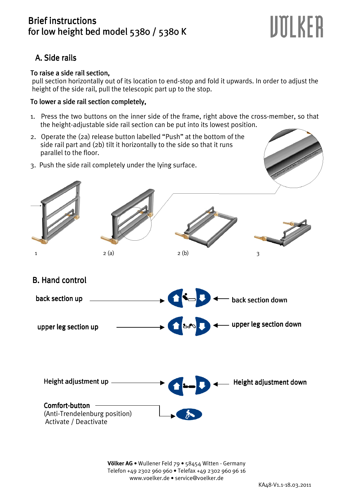### **Brief instructions** for low height bed model 5380 / 5380 K

# UOLKER

## A. Side rails

#### To raise a side rail section,

 pull section horizontally out of its location to end-stop and fold it upwards. In order to adjust the height of the side rail, pull the telescopic part up to the stop.

#### To lower a side rail section completely,

- 1. Press the two buttons on the inner side of the frame, right above the cross-member, so that the height-adjustable side rail section can be put into its lowest position.
- 2. Operate the (2a) release button labelled "Push" at the bottom of the side rail part and (2b) tilt it horizontally to the side so that it runs parallel to the floor.
- 3. Push the side rail completely under the lying surface.





**Völker AG** • Wullener Feld 79 • 58454 Witten - Germany Telefon +49 2302 960 960 • Telefax +49 2302 960 96 16 www.voelker.de • service@voelker.de